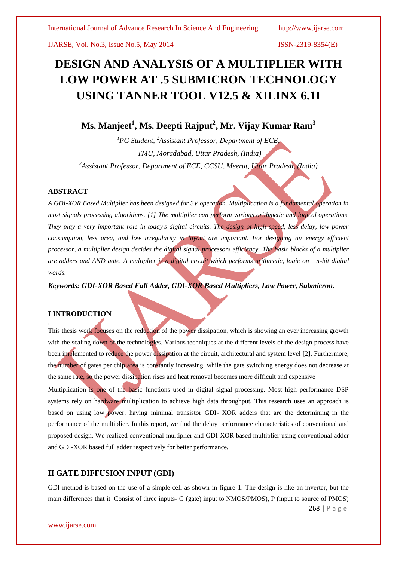IJARSE, Vol. No.3, Issue No.5, May 2014 ISSN-2319-8354(E)

# **DESIGN AND ANALYSIS OF A MULTIPLIER WITH LOW POWER AT .5 SUBMICRON TECHNOLOGY USING TANNER TOOL V12.5 & XILINX 6.1I**

## **Ms. Manjeet<sup>1</sup> , Ms. Deepti Rajput<sup>2</sup> , Mr. Vijay Kumar Ram<sup>3</sup>**

*<sup>1</sup>PG Student, <sup>2</sup>Assistant Professor, Department of ECE, TMU, Moradabad, Uttar Pradesh, (India) 3 Assistant Professor, Department of ECE, CCSU, Meerut, Uttar Pradesh, (India)*

#### **ABSTRACT**

*A GDI-XOR Based Multiplier has been designed for 3V operation. Multiplication is a fundamental operation in most signals processing algorithms. [1] The multiplier can perform various arithmetic and logical operations. They play a very important role in today's digital circuits. The design of high speed, less delay, low power consumption, less area, and low irregularity in layout are important. For designing an energy efficient processor, a multiplier design decides the digital signal processors efficiency. The basic blocks of a multiplier are adders and AND gate. A multiplier is a digital circuit which performs arithmetic, logic on n-bit digital words*.

*Keywords: GDI-XOR Based Full Adder, GDI-XOR Based Multipliers, Low Power, Submicron.*

#### **I INTRODUCTION**

This thesis work focuses on the reduction of the power dissipation, which is showing an ever increasing growth with the scaling down of the technologies. Various techniques at the different levels of the design process have been implemented to reduce the power dissipation at the circuit, architectural and system level [2]. Furthermore, the number of gates per chip area is constantly increasing, while the gate switching energy does not decrease at the same rate, so the power dissipation rises and heat removal becomes more difficult and expensive Multiplication is one of the basic functions used in digital signal processing. Most high performance DSP systems rely on hardware multiplication to achieve high data throughput. This research uses an approach is based on using low power, having minimal transistor GDI- XOR adders that are the determining in the performance of the multiplier. In this report, we find the delay performance characteristics of conventional and proposed design. We realized conventional multiplier and GDI-XOR based multiplier using conventional adder and GDI-XOR based full adder respectively for better performance.

## **II GATE DIFFUSION INPUT (GDI)**

GDI method is based on the use of a simple cell as shown in figure 1. The design is like an inverter, but the main differences that it Consist of three inputs- G (gate) input to NMOS/PMOS), P (input to source of PMOS)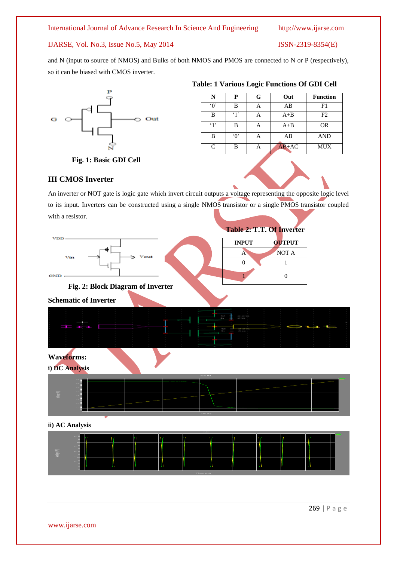## IJARSE, Vol. No.3, Issue No.5, May 2014 ISSN-2319-8354(E)

and N (input to source of NMOS) and Bulks of both NMOS and PMOS are connected to N or P (respectively), so it can be biased with CMOS inverter.



| N             | P          | G | Out     | <b>Function</b> |
|---------------|------------|---|---------|-----------------|
| $\Omega$      | R          |   | AB      | F1              |
| R             | $\cdot$ 1' |   | $A + B$ | F <sub>2</sub>  |
| .1            | в          |   | $A + B$ | <b>OR</b>       |
| R             | $\Omega$   |   | AB      | <b>AND</b>      |
| $\mathcal{C}$ | R          |   | $AB+AC$ | <b>MUX</b>      |

**Table: 1 Various Logic Functions Of GDI Cell**

## **Fig. 1: Basic GDI Cell**

## **III CMOS Inverter**

An inverter or NOT gate is logic gate which invert circuit outputs a voltage representing the opposite logic level to its input. Inverters can be constructed using a single NMOS transistor or a single PMOS transistor coupled with a resistor.







## **Waveforms:**





#### **ii) AC Analysis**



269 | P a g e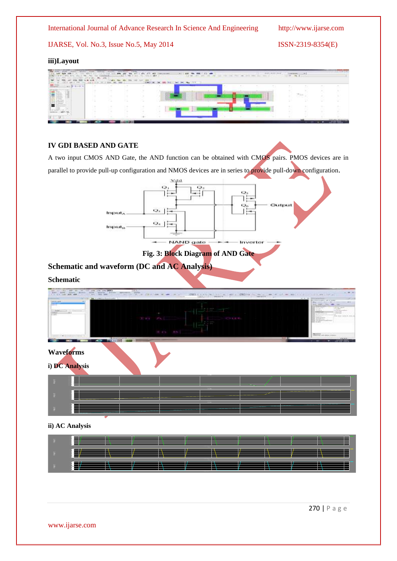IJARSE, Vol. No.3, Issue No.5, May 2014 ISSN-2319-8354(E)

## **iii)Layout**

|                     |  | 1111 |             | <b>STATISTICS</b><br>as.                         |                                                            |  |  | $\frac{1}{2}$ |  |
|---------------------|--|------|-------------|--------------------------------------------------|------------------------------------------------------------|--|--|---------------|--|
|                     |  | ÷    | <b>ROND</b> | $-$<br>346<br><b><i>SEC 254.1.</i></b><br>$\sim$ | the first party of the company<br>$\overline{\phantom{m}}$ |  |  |               |  |
| $-1$ $+1$ $-1$ $-1$ |  |      |             |                                                  |                                                            |  |  |               |  |
|                     |  |      |             |                                                  |                                                            |  |  |               |  |
|                     |  |      |             |                                                  |                                                            |  |  | 天地            |  |
| T.                  |  |      |             |                                                  |                                                            |  |  |               |  |
| =                   |  |      |             |                                                  |                                                            |  |  |               |  |
|                     |  |      |             |                                                  |                                                            |  |  |               |  |
|                     |  |      |             |                                                  |                                                            |  |  |               |  |
|                     |  |      |             |                                                  |                                                            |  |  |               |  |

## **IV GDI BASED AND GATE**

A two input CMOS AND Gate, the AND function can be obtained with CMOS pairs. PMOS devices are in parallel to provide pull-up configuration and NMOS devices are in series to provide pull-down configuration.



## **Fig. 3: Block Diagram of AND Gate**

**Schematic and waveform (DC and AC Analysis)** 

## **Schematic**

| <b>AND OF REAL PROPERTY</b>                                                                                       | and the local state and the control of the state and state (MP)                                                                                      | $1 - 1 + 1$                             |                                                                                                                                                                                                                                                                                                                                              |                     |                                                                                                                                                                                                                                                                                                                                                                                                                                                                       |
|-------------------------------------------------------------------------------------------------------------------|------------------------------------------------------------------------------------------------------------------------------------------------------|-----------------------------------------|----------------------------------------------------------------------------------------------------------------------------------------------------------------------------------------------------------------------------------------------------------------------------------------------------------------------------------------------|---------------------|-----------------------------------------------------------------------------------------------------------------------------------------------------------------------------------------------------------------------------------------------------------------------------------------------------------------------------------------------------------------------------------------------------------------------------------------------------------------------|
| A. D. G. A. Louis And Half<br><b>International C</b><br>$-$<br>$\frac{1}{2}$<br>Add-<br>LESSAGE.<br><b>Common</b> | The main time that the property from the second time and a second to the control of<br>THE STATE CARD COMPANY AND CONTRACTOR<br>$-1$<br>--<br>$-0.1$ | <b>CONTRACTOR</b><br>Tri AL<br>工 19 351 | 2001   LONG   LONG   LONG   LONG   LONG   LONG   LONG   LONG   LONG   LONG   LONG   LONG   LONG   LONG   LONG   LONG   LONG   LONG   LONG   LONG   LONG   LONG   LONG   LONG   LONG   LONG   LONG   LONG   LONG   LONG   LONG<br>TAX CONTRACT<br>the property of the control<br><b>CENT</b><br>C111<br><b>State State</b><br>the controllers | <b>SALESTER</b> ST. | $-77.77$<br>of a red Principal State<br><b>SPORTFORMS OF STREET</b><br><b>Web LEAST CARD TO MAY IT COM</b><br><b>MARK ST</b><br>Sold condit (1964), where<br>t, m<br>CREEKING<br>THE R. LEWIS<br>3227<br>THE SHOPPER TO<br><b>Contract</b><br>with the state of the factor<br><b>TRANSVILLE</b><br>E. - Incredit<br>yearing.<br>Service President<br><b>TEROPERTY</b><br>THE REPORTER SERVER<br><b>School</b><br><b>CARDINAL</b><br>Polan Trailer<br><b>CAIN HOLL</b> |
|                                                                                                                   | <b>CARLO BEE</b>                                                                                                                                     |                                         |                                                                                                                                                                                                                                                                                                                                              | <b>SALE</b>         | There is a concerned<br><b>KINDING</b>                                                                                                                                                                                                                                                                                                                                                                                                                                |
|                                                                                                                   | <b>Waveforms</b><br>i) DC Analysis                                                                                                                   |                                         |                                                                                                                                                                                                                                                                                                                                              |                     |                                                                                                                                                                                                                                                                                                                                                                                                                                                                       |
| $\overline{\overline{\overline{B}}}$                                                                              |                                                                                                                                                      |                                         |                                                                                                                                                                                                                                                                                                                                              |                     |                                                                                                                                                                                                                                                                                                                                                                                                                                                                       |
| 垂                                                                                                                 |                                                                                                                                                      |                                         |                                                                                                                                                                                                                                                                                                                                              |                     |                                                                                                                                                                                                                                                                                                                                                                                                                                                                       |
| ÷                                                                                                                 |                                                                                                                                                      |                                         | <b>County</b>                                                                                                                                                                                                                                                                                                                                |                     |                                                                                                                                                                                                                                                                                                                                                                                                                                                                       |

### **ii) AC Analysis**

|                  | ii) AC Analysis |  |  | <b>COMMERCIAL</b> |  |  |  |
|------------------|-----------------|--|--|-------------------|--|--|--|
| - 夏川             |                 |  |  |                   |  |  |  |
| $\overline{R}$ . |                 |  |  |                   |  |  |  |
| i gi             |                 |  |  |                   |  |  |  |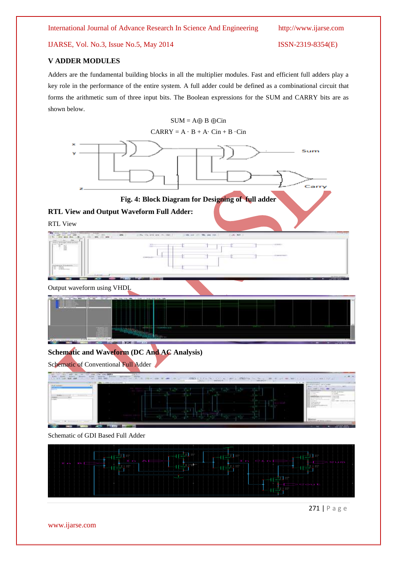IJARSE, Vol. No.3, Issue No.5, May 2014 ISSN-2319-8354(E)

## **V ADDER MODULES**

Adders are the fundamental building blocks in all the multiplier modules. Fast and efficient full adders play a key role in the performance of the entire system. A full adder could be defined as a combinational circuit that forms the arithmetic sum of three input bits. The Boolean expressions for the SUM and CARRY bits are as shown below.



271 | P a g e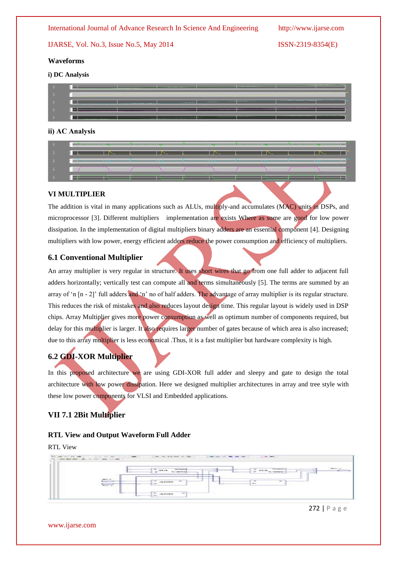IJARSE, Vol. No.3, Issue No.5, May 2014 ISSN-2319-8354(E)

## **Waveforms**

#### **i) DC Analysis**

|      | i) DC Analysis |  |
|------|----------------|--|
| −ē.  |                |  |
| - 5  |                |  |
| ∴ă.  |                |  |
| - E  |                |  |
| - 31 |                |  |

#### **ii) AC Analysis**

|            | ii) AC Analysis |  |  |  |  |  |
|------------|-----------------|--|--|--|--|--|
| $\ddot{=}$ |                 |  |  |  |  |  |
|            |                 |  |  |  |  |  |
|            |                 |  |  |  |  |  |
|            |                 |  |  |  |  |  |
|            |                 |  |  |  |  |  |

#### **VI MULTIPLIER**

The addition is vital in many applications such as ALUs, multiply-and accumulates (MAC) units in DSPs, and microprocessor [3]. Different multipliers implementation are exists Where as some are good for low power dissipation. In the implementation of digital multipliers binary adders are an essential component [4]. Designing multipliers with low power, energy efficient adders reduce the power consumption and efficiency of multipliers.

## **6.1 Conventional Multiplier**

An array multiplier is very regular in structure. It uses short wires that go from one full adder to adjacent full adders horizontally; vertically test can compute all and terms simultaneously [5]. The terms are summed by an array of 'n [n - 2]' full adders and 'n' no of half adders. The advantage of array multiplier is its regular structure. This reduces the risk of mistakes and also reduces layout design time. This regular layout is widely used in DSP chips. Array Multiplier gives more power consumption as well as optimum number of components required, but delay for this multiplier is larger. It also requires larger number of gates because of which area is also increased; due to this array multiplier is less economical .Thus, it is a fast multiplier but hardware complexity is high.

## **6.2 GDI-XOR Multiplier**

In this proposed architecture we are using GDI-XOR full adder and sleepy and gate to design the total architecture with low power dissipation. Here we designed multiplier architectures in array and tree style with these low power components for VLSI and Embedded applications.

## **VII 7.1 2Bit Multiplier**

#### **RTL View and Output Waveform Full Adder**

#### RTL View



272 | P a g e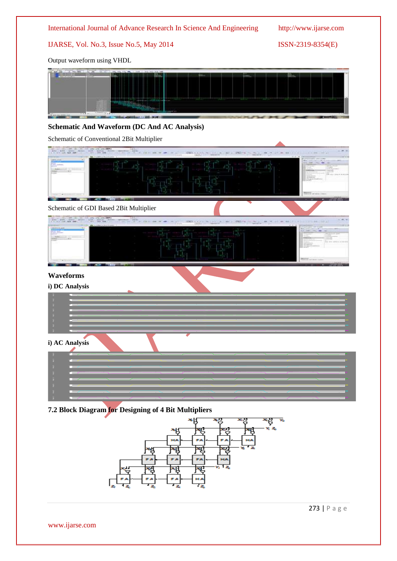

## IJARSE, Vol. No.3, Issue No.5, May 2014 ISSN-2319-8354(E)

Output waveform using VHDL



## **Schematic And Waveform (DC And AC Analysis)**

Schematic of Conventional 2Bit Multiplier



## **7.2 Block Diagram for Designing of 4 Bit Multipliers**



273 | P a g e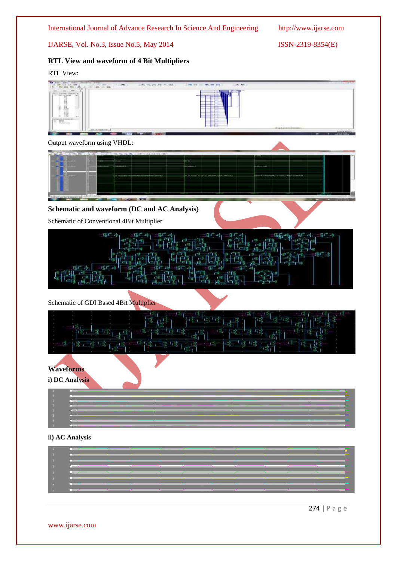IJARSE, Vol. No.3, Issue No.5, May 2014 ISSN-2319-8354(E)

## **RTL View and waveform of 4 Bit Multipliers**

RTL View:



Output waveform using VHDL:



## **Schematic and waveform (DC and AC Analysis)**

Schematic of Conventional 4Bit Multiplier

| $\begin{bmatrix} \frac{1}{\sqrt{2}}\frac{1}{\sqrt{2}}\frac{1}{\sqrt{2}}\\ \frac{1}{\sqrt{2}}\frac{1}{\sqrt{2}}\frac{1}{\sqrt{2}}\frac{1}{\sqrt{2}}\frac{1}{\sqrt{2}}\frac{1}{\sqrt{2}}\frac{1}{\sqrt{2}}\frac{1}{\sqrt{2}}\frac{1}{\sqrt{2}}\frac{1}{\sqrt{2}}\frac{1}{\sqrt{2}}\frac{1}{\sqrt{2}}\frac{1}{\sqrt{2}}\frac{1}{\sqrt{2}}\frac{1}{\sqrt{2}}\frac{1}{\sqrt{2}}\frac{1}{\sqrt{2}}\frac{1}{\sqrt{2}}\frac{$ |  |
|-----------------------------------------------------------------------------------------------------------------------------------------------------------------------------------------------------------------------------------------------------------------------------------------------------------------------------------------------------------------------------------------------------------------------|--|
|                                                                                                                                                                                                                                                                                                                                                                                                                       |  |
| ्हा को<br>香山                                                                                                                                                                                                                                                                                                                                                                                                          |  |
| <b>【程度】</b>                                                                                                                                                                                                                                                                                                                                                                                                           |  |

## Schematic of GDI Based 4Bit Multiplier

|                                                                                                                                                                             | n på <sup>en</sup> terna <sub>tea</sub> n på på <sub>te</sub> n<br>$\frac{1}{4}$ and $\frac{1}{2}$ and $\frac{1}{4}$ and $\frac{1}{4}$ and $\frac{1}{4}$<br>四兩                                                                                                                                                                                                                                         |    |
|-----------------------------------------------------------------------------------------------------------------------------------------------------------------------------|--------------------------------------------------------------------------------------------------------------------------------------------------------------------------------------------------------------------------------------------------------------------------------------------------------------------------------------------------------------------------------------------------------|----|
|                                                                                                                                                                             |                                                                                                                                                                                                                                                                                                                                                                                                        |    |
| <b>PCC 「CE LOST CE LO</b>                                                                                                                                                   | $\frac{1}{2} \left[ \frac{1}{16} \frac{1}{3} + \frac{1}{16} \frac{1}{3} + \frac{1}{3} \frac{1}{3} + \frac{1}{3} \frac{1}{3} \frac{1}{3} \right] \left[ \frac{1}{16} \frac{1}{3} + \frac{1}{16} \frac{1}{3} + \frac{1}{16} \frac{1}{3} + \frac{1}{16} \frac{1}{3} \right] \left[ \frac{1}{16} \frac{1}{3} + \frac{1}{16} \frac{1}{3} + \frac{1}{16} \frac{1}{3} \right] \left[ \frac{1}{16} \frac{1}{3$ |    |
|                                                                                                                                                                             |                                                                                                                                                                                                                                                                                                                                                                                                        |    |
| $\mathbb{E}[\mathbb{E}[\mathbb{E}^{(1)}_t] = \mathbb{E}[\mathbb{E}^{(1)}_t] \mathbb{E}[\mathbb{E}^{(1)}_t] = \mathbb{E}[\mathbb{E}^{(1)}_t] \mathbb{E}[\mathbb{E}^{(1)}_t]$ | <b>西德·喀拉卡西</b>                                                                                                                                                                                                                                                                                                                                                                                         | 機磨 |
|                                                                                                                                                                             |                                                                                                                                                                                                                                                                                                                                                                                                        |    |

## **Waveforms**

**i) DC Analysis**

| <b>THE COMMUNISTIC OF REAL PROPERTY.</b>  |                                                                                                                                                                                                                                      |
|-------------------------------------------|--------------------------------------------------------------------------------------------------------------------------------------------------------------------------------------------------------------------------------------|
|                                           | and the contract of the contract of the contract of the contract of the contract of the contract of the contract of the contract of the contract of the contract of the contract of the contract of the contract of the contra       |
| <u> 2001 - Saman Management (f. 1989)</u> |                                                                                                                                                                                                                                      |
|                                           | <u> 1999 - Jan Samuel Barn, amerikan bernama pendang pada 1990 - 1990 - 1990 - 1990 - 1990 - 1990 - 1990 - 1990 - 1990 - 1990 - 1990 - 1990 - 1990 - 1990 - 1990 - 1990 - 1990 - 1990 - 1990 - 1990 - 1990 - 1990 - 1990 - 1990 </u> |
|                                           |                                                                                                                                                                                                                                      |
|                                           |                                                                                                                                                                                                                                      |
|                                           | <u> 1980 - Andrea Stadt Germany, Amerikaansk politik (* 1980)</u>                                                                                                                                                                    |
|                                           |                                                                                                                                                                                                                                      |

## **ii) AC Analysis**

| —                                                                                                                                                                                                                                    | $\overline{\phantom{a}}$ |   |      |                            |                                                                                                                        |  |  |
|--------------------------------------------------------------------------------------------------------------------------------------------------------------------------------------------------------------------------------------|--------------------------|---|------|----------------------------|------------------------------------------------------------------------------------------------------------------------|--|--|
| F I                                                                                                                                                                                                                                  |                          |   |      |                            |                                                                                                                        |  |  |
| <b>The Contract of the Contract of the Contract of The Contract of The Contract of The Contract of The Contract of The Contract of The Contract of The Contract of The Contract of The Contract of The Contract of The Contract </b> |                          |   |      |                            |                                                                                                                        |  |  |
| EТ<br><b>THE PARTITION</b>                                                                                                                                                                                                           |                          |   | T Z  |                            |                                                                                                                        |  |  |
| ┉                                                                                                                                                                                                                                    |                          |   |      |                            |                                                                                                                        |  |  |
| ш<br><b>THE SALE ROOM</b>                                                                                                                                                                                                            |                          |   |      |                            |                                                                                                                        |  |  |
|                                                                                                                                                                                                                                      |                          |   |      |                            |                                                                                                                        |  |  |
|                                                                                                                                                                                                                                      |                          |   |      |                            |                                                                                                                        |  |  |
|                                                                                                                                                                                                                                      |                          | ┳ | mezo | __________________________ | <u>sun a component de la provincia de la provincia de la provincia de la provincia de la provincia de la provincia</u> |  |  |

274 | P a g e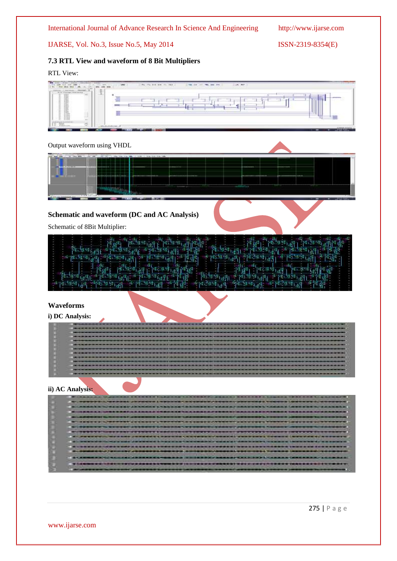IJARSE, Vol. No.3, Issue No.5, May 2014 ISSN-2319-8354(E)

## **7.3 RTL View and waveform of 8 Bit Multipliers**

## RTL View:

| <b>CARLO AND</b><br>$\sim$                                                                                                             |                                                      |                     |        | $A$ with<br><b>CONTRACTOR</b> |                                                                             |
|----------------------------------------------------------------------------------------------------------------------------------------|------------------------------------------------------|---------------------|--------|-------------------------------|-----------------------------------------------------------------------------|
| œ.<br>31<br>\$1.75 Platter Herman Lat<br><b>THERMORES</b><br>$-1$<br>l<br>l<br><b>COL</b><br>222<br>譜<br>141<br>Ŧ<br><b>CONTRACTOR</b> | u<br><br>dental a<br>_<br>Ħ<br><b>All collection</b> | $\sim$<br>---<br>-- | _<br>÷ | ---<br>---                    | <b>Contract of Contract of Contract</b><br>n an<br>--<br>---<br>The Control |

## Output waveform using VHDL



## **Schematic and waveform (DC and AC Analysis)**

Schematic of 8Bit Multiplier:

| $\frac{1}{2}[\frac{1}{2},\frac{1}{2},\frac{1}{2}]\cdot [\frac{1}{2},\frac{1}{2},\frac{1}{2}]\cdot [\frac{1}{2},\frac{1}{2}]\cdot [\frac{1}{2},\frac{1}{2}]\cdot [\frac{1}{2},\frac{1}{2}]\cdot [\frac{1}{2},\frac{1}{2}]\cdot [\frac{1}{2},\frac{1}{2}]\cdot [\frac{1}{2},\frac{1}{2}]\cdot [\frac{1}{2},\frac{1}{2}]\cdot [\frac{1}{2},\frac{1}{2}]\cdot [\frac{1}{2},\frac{1}{2}]\cdot [\frac{1}{2},\frac{1}{2}]\cdot [\frac{1}{2},$<br>4 年(4) 海外<br>國<br><b>The set of 1</b> 2 |
|-----------------------------------------------------------------------------------------------------------------------------------------------------------------------------------------------------------------------------------------------------------------------------------------------------------------------------------------------------------------------------------------------------------------------------------------------------------------------------------|
|                                                                                                                                                                                                                                                                                                                                                                                                                                                                                   |
|                                                                                                                                                                                                                                                                                                                                                                                                                                                                                   |
|                                                                                                                                                                                                                                                                                                                                                                                                                                                                                   |
|                                                                                                                                                                                                                                                                                                                                                                                                                                                                                   |
|                                                                                                                                                                                                                                                                                                                                                                                                                                                                                   |
| <b>TABLE</b>                                                                                                                                                                                                                                                                                                                                                                                                                                                                      |
|                                                                                                                                                                                                                                                                                                                                                                                                                                                                                   |
| ार किरोमानी <sub>है।</sub> वि                                                                                                                                                                                                                                                                                                                                                                                                                                                     |
| $\mathcal{L} = \{ \frac{1}{2} \mathcal{L}_{1} + \frac{1}{2} \mathcal{L}_{2} + \frac{1}{2} \mathcal{L}_{3} + \frac{1}{2} \mathcal{L}_{4} + \frac{1}{2} \mathcal{L}_{5} + \frac{1}{2} \mathcal{L}_{6} + \frac{1}{2} \mathcal{L}_{7} + \frac{1}{2} \mathcal{L}_{8} + \frac{1}{2} \mathcal{L}_{9} + \frac{1}{2} \mathcal{L}_{1} + \frac{1}{2} \mathcal{L}_{1} + \frac{1}{2} \mathcal{L}_{1} + \frac{1}{2} \mathcal{L}_{1} + \frac{$<br><sup>解释</sup> 话 当性性                            |
|                                                                                                                                                                                                                                                                                                                                                                                                                                                                                   |

## **Waveforms**

### **i) DC Analysis:**

| ----------------------------------- |              |
|-------------------------------------|--------------|
|                                     |              |
|                                     |              |
|                                     |              |
|                                     |              |
|                                     |              |
| ____                                |              |
| ------------------------------      |              |
|                                     | ------------ |
|                                     |              |
|                                     |              |
|                                     |              |

## **ii) AC Analysis:**

| <b>RUBBERT CONTROLLERS AND RESIDENTS AND RUBBERT AND RESIDENTS AND RESIDENTS AND RUBBERT</b> |
|----------------------------------------------------------------------------------------------|
| <b>,我们要在这里的时候,我们也不能在这里的时候,我们也不知道我们的时候就是我们的,我们也不知道你们的事情。"我们的时候,我们就是我们的人,我们也不知道</b>            |
|                                                                                              |
| <b>我们的想要想要有什么?我们的话都不是我的爱慕的话也有很多事情,我们的我要想要什么都能够的我们要要做一些要求我,不知道我想的,我要你要想要的你们的事情的事情</b> 。       |
|                                                                                              |
| T11855721191117711233882514785721111783727258825172017122111233391456333311112317            |
|                                                                                              |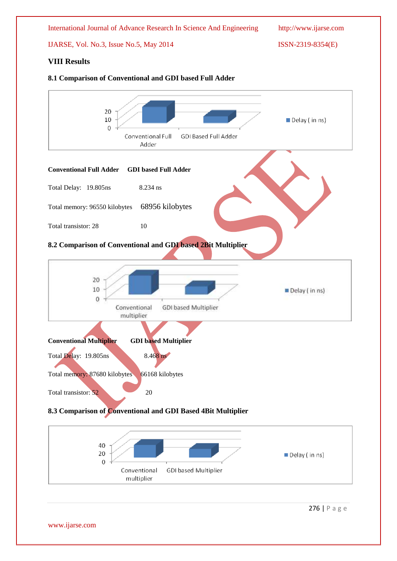



276 | P a g e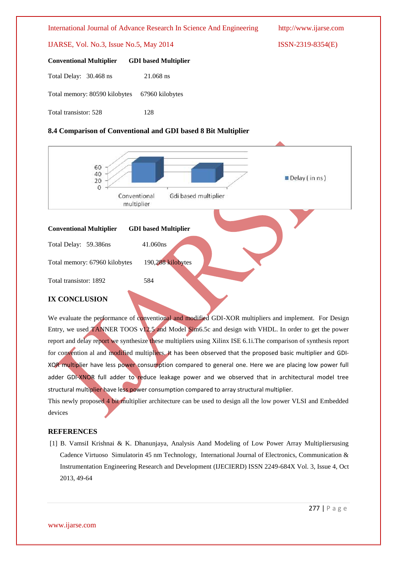#### IJARSE, Vol. No.3, Issue No.5, May 2014 ISSN-2319-8354(E)

| <b>Conventional Multiplier GDI based Multiplier</b> |           |
|-----------------------------------------------------|-----------|
| Total Delay: 30.468 ns                              | 21.068 ns |
| Total memory: 80590 kilobytes 67960 kilobytes       |           |
| Total transistor: 528                               | 128       |

## **8.4 Comparison of Conventional and GDI based 8 Bit Multiplier**



We evaluate the performance of conventional and modified GDI-XOR multipliers and implement. For Design Entry, we used TANNER TOOS v12.5 and Model Sim6.5c and design with VHDL. In order to get the power report and delay report we synthesize these multipliers using Xilinx ISE 6.1i.The comparison of synthesis report for convention al and modified multipliers. It has been observed that the proposed basic multiplier and GDI-XOR multiplier have less power consumption compared to general one. Here we are placing low power full adder GDI-XNOR full adder to reduce leakage power and we observed that in architectural model tree structural multiplier have less power consumption compared to array structural multiplier.

This newly proposed 4 bit multiplier architecture can be used to design all the low power VLSI and Embedded devices

## **REFERENCES**

[1] B. VamsiI Krishnai & K. Dhanunjaya, Analysis Aand Modeling of Low Power Array Multipliersusing Cadence Virtuoso Simulatorin 45 nm Technology, International Journal of Electronics, Communication & Instrumentation Engineering Research and Development (IJECIERD) ISSN 2249-684X Vol. 3, Issue 4, Oct 2013, 49-64